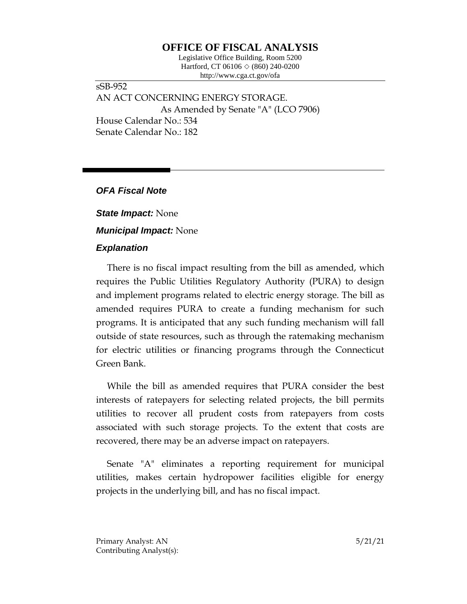# **OFFICE OF FISCAL ANALYSIS**

Legislative Office Building, Room 5200 Hartford, CT 06106 ◇ (860) 240-0200 http://www.cga.ct.gov/ofa

sSB-952 AN ACT CONCERNING ENERGY STORAGE. As Amended by Senate "A" (LCO 7906) House Calendar No.: 534 Senate Calendar No.: 182

*OFA Fiscal Note*

*State Impact:* None

*Municipal Impact:* None

### *Explanation*

There is no fiscal impact resulting from the bill as amended, which requires the Public Utilities Regulatory Authority (PURA) to design and implement programs related to electric energy storage. The bill as amended requires PURA to create a funding mechanism for such programs. It is anticipated that any such funding mechanism will fall outside of state resources, such as through the ratemaking mechanism for electric utilities or financing programs through the Connecticut Green Bank.

While the bill as amended requires that PURA consider the best interests of ratepayers for selecting related projects, the bill permits utilities to recover all prudent costs from ratepayers from costs associated with such storage projects. To the extent that costs are recovered, there may be an adverse impact on ratepayers.

Senate "A" eliminates a reporting requirement for municipal utilities, makes certain hydropower facilities eligible for energy projects in the underlying bill, and has no fiscal impact.